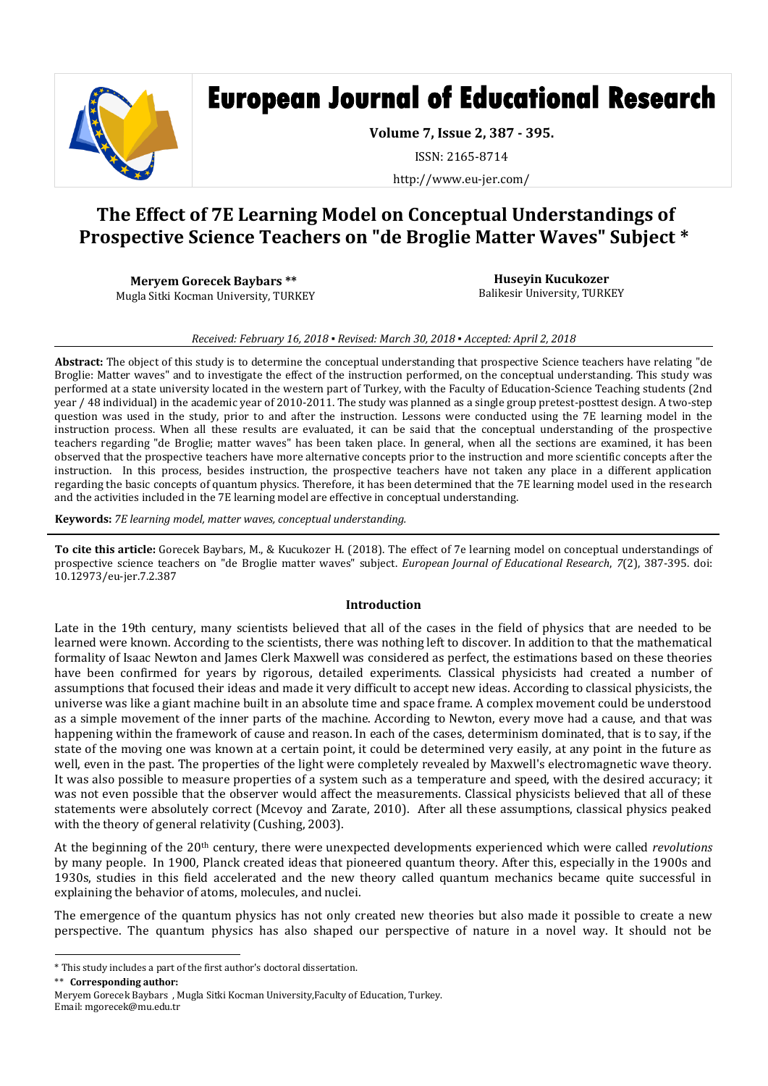

# **European Journal of Educational Research**

**Volume 7, Issue 2, 387 - 395.**

ISSN: 2165-8714

http://www.eu-jer.com/

# **The Effect of 7E Learning Model on Conceptual Understandings of Prospective Science Teachers on "de Broglie Matter Waves" Subject \***

**Meryem Gorecek Baybars \*\* \*** Mugla Sitki Kocman University, TURKEY

**Huseyin Kucukozer** Balikesir University, TURKEY

#### *Received: February 16, 2018 ▪ Revised: March 30, 2018 ▪ Accepted: April 2, 2018*

**Abstract:** The object of this study is to determine the conceptual understanding that prospective Science teachers have relating "de Broglie: Matter waves" and to investigate the effect of the instruction performed, on the conceptual understanding. This study was performed at a state university located in the western part of Turkey, with the Faculty of Education-Science Teaching students (2nd year / 48 individual) in the academic year of 2010-2011. The study was planned as a single group pretest-posttest design. A two-step question was used in the study, prior to and after the instruction. Lessons were conducted using the 7E learning model in the instruction process. When all these results are evaluated, it can be said that the conceptual understanding of the prospective teachers regarding "de Broglie; matter waves" has been taken place. In general, when all the sections are examined, it has been observed that the prospective teachers have more alternative concepts prior to the instruction and more scientific concepts after the instruction. In this process, besides instruction, the prospective teachers have not taken any place in a different application regarding the basic concepts of quantum physics. Therefore, it has been determined that the 7E learning model used in the research and the activities included in the 7E learning model are effective in conceptual understanding.

**Keywords:** *7E learning model, matter waves, conceptual understanding.*

**To cite this article:** Gorecek Baybars, M., & Kucukozer H. (2018). The effect of 7e learning model on conceptual understandings of prospective science teachers on "de Broglie matter waves" subject. *European Journal of Educational Research*, *7*(2), 387-395. doi: 10.12973/eu-jer.7.2.387

#### **Introduction**

Late in the 19th century, many scientists believed that all of the cases in the field of physics that are needed to be learned were known. According to the scientists, there was nothing left to discover. In addition to that the mathematical formality of Isaac Newton and James Clerk Maxwell was considered as perfect, the estimations based on these theories have been confirmed for years by rigorous, detailed experiments. Classical physicists had created a number of assumptions that focused their ideas and made it very difficult to accept new ideas. According to classical physicists, the universe was like a giant machine built in an absolute time and space frame. A complex movement could be understood as a simple movement of the inner parts of the machine. According to Newton, every move had a cause, and that was happening within the framework of cause and reason. In each of the cases, determinism dominated, that is to say, if the state of the moving one was known at a certain point, it could be determined very easily, at any point in the future as well, even in the past. The properties of the light were completely revealed by Maxwell's electromagnetic wave theory. It was also possible to measure properties of a system such as a temperature and speed, with the desired accuracy; it was not even possible that the observer would affect the measurements. Classical physicists believed that all of these statements were absolutely correct (Mcevoy and Zarate, 2010). After all these assumptions, classical physics peaked with the theory of general relativity (Cushing, 2003).

At the beginning of the 20th century, there were unexpected developments experienced which were called *revolutions* by many people. In 1900, Planck created ideas that pioneered quantum theory. After this, especially in the 1900s and 1930s, studies in this field accelerated and the new theory called quantum mechanics became quite successful in explaining the behavior of atoms, molecules, and nuclei.

The emergence of the quantum physics has not only created new theories but also made it possible to create a new perspective. The quantum physics has also shaped our perspective of nature in a novel way. It should not be

\*\* \* **Corresponding author:**

 $\overline{\phantom{a}}$ \* This study includes a part of the first author's doctoral dissertation.

Meryem Gorecek Baybars , Mugla Sitki Kocman University,Faculty of Education, Turkey. Email: mgorecek@mu.edu.tr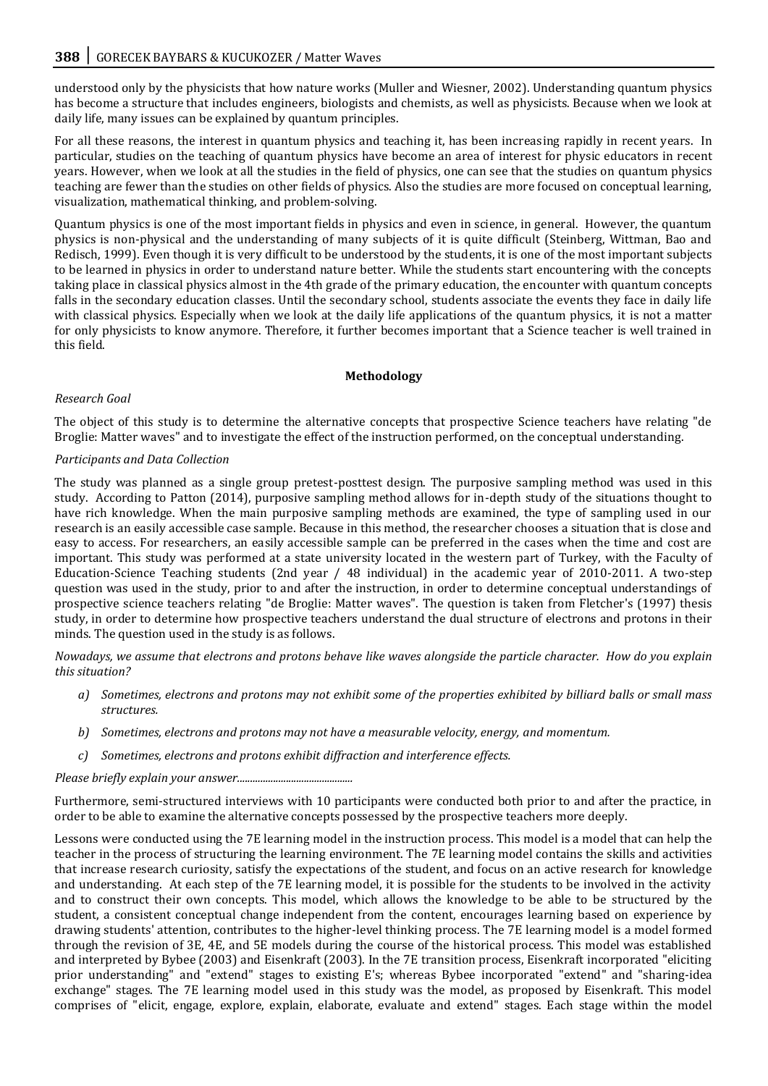understood only by the physicists that how nature works (Muller and Wiesner, 2002). Understanding quantum physics has become a structure that includes engineers, biologists and chemists, as well as physicists. Because when we look at daily life, many issues can be explained by quantum principles.

For all these reasons, the interest in quantum physics and teaching it, has been increasing rapidly in recent years. In particular, studies on the teaching of quantum physics have become an area of interest for physic educators in recent years. However, when we look at all the studies in the field of physics, one can see that the studies on quantum physics teaching are fewer than the studies on other fields of physics. Also the studies are more focused on conceptual learning, visualization, mathematical thinking, and problem-solving.

Quantum physics is one of the most important fields in physics and even in science, in general. However, the quantum physics is non-physical and the understanding of many subjects of it is quite difficult (Steinberg, Wittman, Bao and Redisch, 1999). Even though it is very difficult to be understood by the students, it is one of the most important subjects to be learned in physics in order to understand nature better. While the students start encountering with the concepts taking place in classical physics almost in the 4th grade of the primary education, the encounter with quantum concepts falls in the secondary education classes. Until the secondary school, students associate the events they face in daily life with classical physics. Especially when we look at the daily life applications of the quantum physics, it is not a matter for only physicists to know anymore. Therefore, it further becomes important that a Science teacher is well trained in this field.

#### **Methodology**

# *Research Goal*

The object of this study is to determine the alternative concepts that prospective Science teachers have relating "de Broglie: Matter waves" and to investigate the effect of the instruction performed, on the conceptual understanding.

# *Participants and Data Collection*

The study was planned as a single group pretest-posttest design. The purposive sampling method was used in this study. According to Patton (2014), purposive sampling method allows for in-depth study of the situations thought to have rich knowledge. When the main purposive sampling methods are examined, the type of sampling used in our research is an easily accessible case sample. Because in this method, the researcher chooses a situation that is close and easy to access. For researchers, an easily accessible sample can be preferred in the cases when the time and cost are important. This study was performed at a state university located in the western part of Turkey, with the Faculty of Education-Science Teaching students (2nd year / 48 individual) in the academic year of 2010-2011. A two-step question was used in the study, prior to and after the instruction, in order to determine conceptual understandings of prospective science teachers relating "de Broglie: Matter waves". The question is taken from Fletcher's (1997) thesis study, in order to determine how prospective teachers understand the dual structure of electrons and protons in their minds. The question used in the study is as follows.

*Nowadays, we assume that electrons and protons behave like waves alongside the particle character. How do you explain this situation?*

- *a) Sometimes, electrons and protons may not exhibit some of the properties exhibited by billiard balls or small mass structures.*
- *b) Sometimes, electrons and protons may not have a measurable velocity, energy, and momentum.*
- *c) Sometimes, electrons and protons exhibit diffraction and interference effects.*

*Please briefly explain your answer.............................................*

Furthermore, semi-structured interviews with 10 participants were conducted both prior to and after the practice, in order to be able to examine the alternative concepts possessed by the prospective teachers more deeply.

Lessons were conducted using the 7E learning model in the instruction process. This model is a model that can help the teacher in the process of structuring the learning environment. The 7E learning model contains the skills and activities that increase research curiosity, satisfy the expectations of the student, and focus on an active research for knowledge and understanding. At each step of the 7E learning model, it is possible for the students to be involved in the activity and to construct their own concepts. This model, which allows the knowledge to be able to be structured by the student, a consistent conceptual change independent from the content, encourages learning based on experience by drawing students' attention, contributes to the higher-level thinking process. The 7E learning model is a model formed through the revision of 3E, 4E, and 5E models during the course of the historical process. This model was established and interpreted by Bybee (2003) and Eisenkraft (2003). In the 7E transition process, Eisenkraft incorporated "eliciting prior understanding" and "extend" stages to existing E's; whereas Bybee incorporated "extend" and "sharing-idea exchange" stages. The 7E learning model used in this study was the model, as proposed by Eisenkraft. This model comprises of "elicit, engage, explore, explain, elaborate, evaluate and extend" stages. Each stage within the model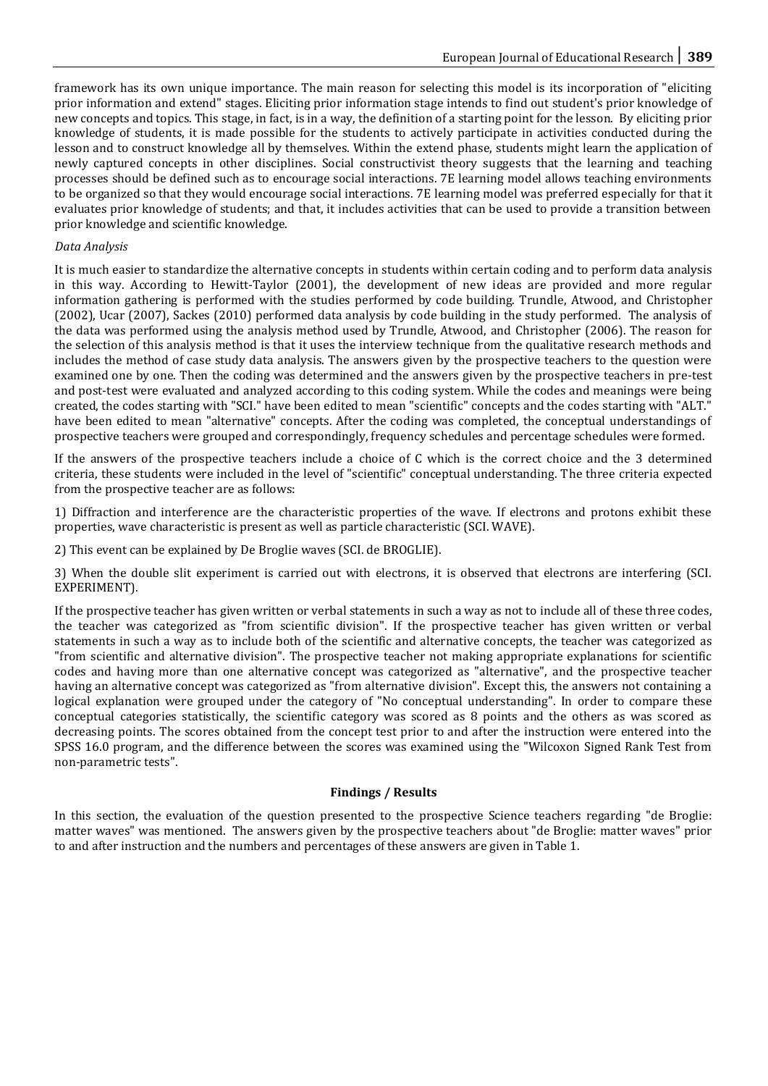framework has its own unique importance. The main reason for selecting this model is its incorporation of "eliciting prior information and extend" stages. Eliciting prior information stage intends to find out student's prior knowledge of new concepts and topics. This stage, in fact, is in a way, the definition of a starting point for the lesson. By eliciting prior knowledge of students, it is made possible for the students to actively participate in activities conducted during the lesson and to construct knowledge all by themselves. Within the extend phase, students might learn the application of newly captured concepts in other disciplines. Social constructivist theory suggests that the learning and teaching processes should be defined such as to encourage social interactions. 7E learning model allows teaching environments to be organized so that they would encourage social interactions. 7E learning model was preferred especially for that it evaluates prior knowledge of students; and that, it includes activities that can be used to provide a transition between prior knowledge and scientific knowledge.

#### *Data Analysis*

It is much easier to standardize the alternative concepts in students within certain coding and to perform data analysis in this way. According to Hewitt-Taylor (2001), the development of new ideas are provided and more regular information gathering is performed with the studies performed by code building. Trundle, Atwood, and Christopher (2002), Ucar (2007), Sackes (2010) performed data analysis by code building in the study performed. The analysis of the data was performed using the analysis method used by Trundle, Atwood, and Christopher (2006). The reason for the selection of this analysis method is that it uses the interview technique from the qualitative research methods and includes the method of case study data analysis. The answers given by the prospective teachers to the question were examined one by one. Then the coding was determined and the answers given by the prospective teachers in pre-test and post-test were evaluated and analyzed according to this coding system. While the codes and meanings were being created, the codes starting with "SCI." have been edited to mean "scientific" concepts and the codes starting with "ALT." have been edited to mean "alternative" concepts. After the coding was completed, the conceptual understandings of prospective teachers were grouped and correspondingly, frequency schedules and percentage schedules were formed.

If the answers of the prospective teachers include a choice of C which is the correct choice and the 3 determined criteria, these students were included in the level of "scientific" conceptual understanding. The three criteria expected from the prospective teacher are as follows:

1) Diffraction and interference are the characteristic properties of the wave. If electrons and protons exhibit these properties, wave characteristic is present as well as particle characteristic (SCI. WAVE).

2) This event can be explained by De Broglie waves (SCI. de BROGLIE).

3) When the double slit experiment is carried out with electrons, it is observed that electrons are interfering (SCI. EXPERIMENT).

If the prospective teacher has given written or verbal statements in such a way as not to include all of these three codes, the teacher was categorized as "from scientific division". If the prospective teacher has given written or verbal statements in such a way as to include both of the scientific and alternative concepts, the teacher was categorized as "from scientific and alternative division". The prospective teacher not making appropriate explanations for scientific codes and having more than one alternative concept was categorized as "alternative", and the prospective teacher having an alternative concept was categorized as "from alternative division". Except this, the answers not containing a logical explanation were grouped under the category of "No conceptual understanding". In order to compare these conceptual categories statistically, the scientific category was scored as 8 points and the others as was scored as decreasing points. The scores obtained from the concept test prior to and after the instruction were entered into the SPSS 16.0 program, and the difference between the scores was examined using the "Wilcoxon Signed Rank Test from non-parametric tests".

# **Findings / Results**

In this section, the evaluation of the question presented to the prospective Science teachers regarding "de Broglie: matter waves" was mentioned. The answers given by the prospective teachers about "de Broglie: matter waves" prior to and after instruction and the numbers and percentages of these answers are given in Table 1.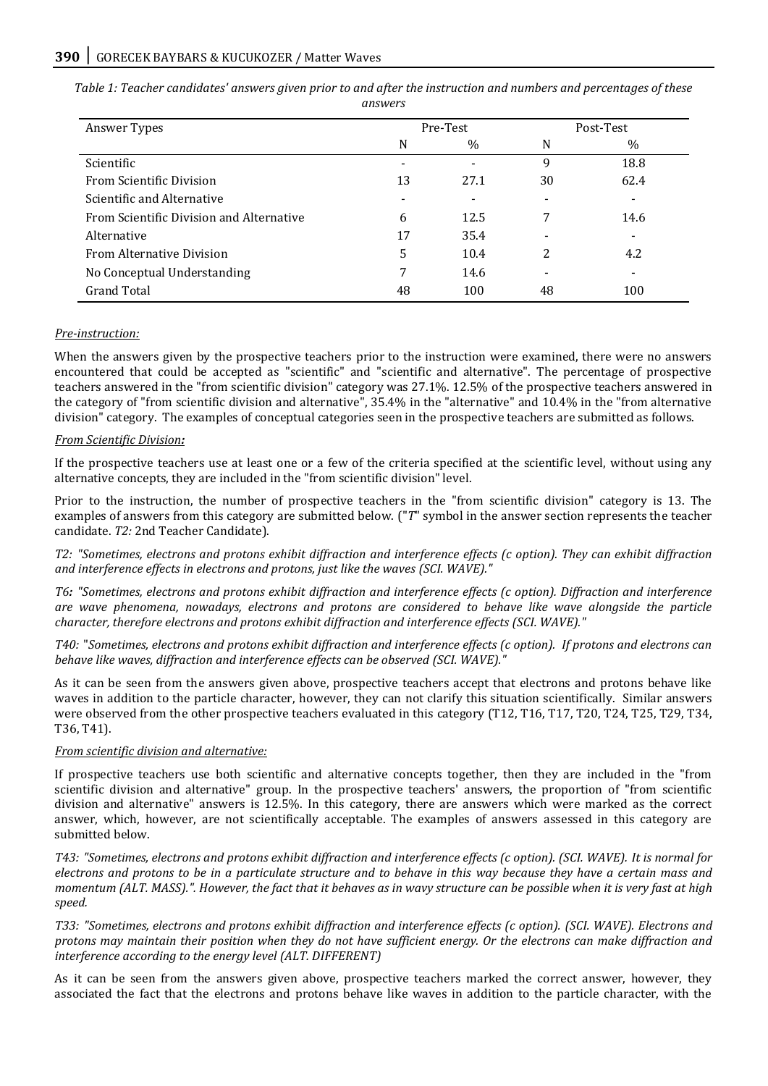| Answer Types                             | Pre-Test |                          | Post-Test |      |
|------------------------------------------|----------|--------------------------|-----------|------|
|                                          | N        | $\%$                     | N         | $\%$ |
| Scientific                               |          | $\overline{\phantom{a}}$ | 9         | 18.8 |
| From Scientific Division                 | 13       | 27.1                     | 30        | 62.4 |
| Scientific and Alternative               |          | -                        |           |      |
| From Scientific Division and Alternative | 6        | 12.5                     | 7         | 14.6 |
| Alternative                              | 17       | 35.4                     |           |      |
| <b>From Alternative Division</b>         | 5        | 10.4                     | 2         | 4.2  |
| No Conceptual Understanding              | 7        | 14.6                     |           |      |
| Grand Total                              | 48       | 100                      | 48        | 100  |

*Table 1: Teacher candidates' answers given prior to and after the instruction and numbers and percentages of these answers*

#### *Pre-instruction:*

When the answers given by the prospective teachers prior to the instruction were examined, there were no answers encountered that could be accepted as "scientific" and "scientific and alternative". The percentage of prospective teachers answered in the "from scientific division" category was 27.1%. 12.5% of the prospective teachers answered in the category of "from scientific division and alternative", 35.4% in the "alternative" and 10.4% in the "from alternative division" category. The examples of conceptual categories seen in the prospective teachers are submitted as follows.

#### *From Scientific Division:*

If the prospective teachers use at least one or a few of the criteria specified at the scientific level, without using any alternative concepts, they are included in the "from scientific division" level.

Prior to the instruction, the number of prospective teachers in the "from scientific division" category is 13. The examples of answers from this category are submitted below. ("*T*" symbol in the answer section represents the teacher candidate. *T2:* 2nd Teacher Candidate).

*T2: "Sometimes, electrons and protons exhibit diffraction and interference effects (c option). They can exhibit diffraction and interference effects in electrons and protons, just like the waves (SCI. WAVE)."*

*T6: "Sometimes, electrons and protons exhibit diffraction and interference effects (c option). Diffraction and interference are wave phenomena, nowadays, electrons and protons are considered to behave like wave alongside the particle character, therefore electrons and protons exhibit diffraction and interference effects (SCI. WAVE)."*

*T40:* "*Sometimes, electrons and protons exhibit diffraction and interference effects (c option). If protons and electrons can behave like waves, diffraction and interference effects can be observed (SCI. WAVE)."*

As it can be seen from the answers given above, prospective teachers accept that electrons and protons behave like waves in addition to the particle character, however, they can not clarify this situation scientifically. Similar answers were observed from the other prospective teachers evaluated in this category (T12, T16, T17, T20, T24, T25, T29, T34, T36, T41).

#### *From scientific division and alternative:*

If prospective teachers use both scientific and alternative concepts together, then they are included in the "from scientific division and alternative" group. In the prospective teachers' answers, the proportion of "from scientific division and alternative" answers is 12.5%. In this category, there are answers which were marked as the correct answer, which, however, are not scientifically acceptable. The examples of answers assessed in this category are submitted below.

*T43: "Sometimes, electrons and protons exhibit diffraction and interference effects (c option). (SCI. WAVE). It is normal for electrons and protons to be in a particulate structure and to behave in this way because they have a certain mass and momentum (ALT. MASS).". However, the fact that it behaves as in wavy structure can be possible when it is very fast at high speed.* 

*T33: "Sometimes, electrons and protons exhibit diffraction and interference effects (c option). (SCI. WAVE). Electrons and protons may maintain their position when they do not have sufficient energy. Or the electrons can make diffraction and interference according to the energy level (ALT. DIFFERENT)*

As it can be seen from the answers given above, prospective teachers marked the correct answer, however, they associated the fact that the electrons and protons behave like waves in addition to the particle character, with the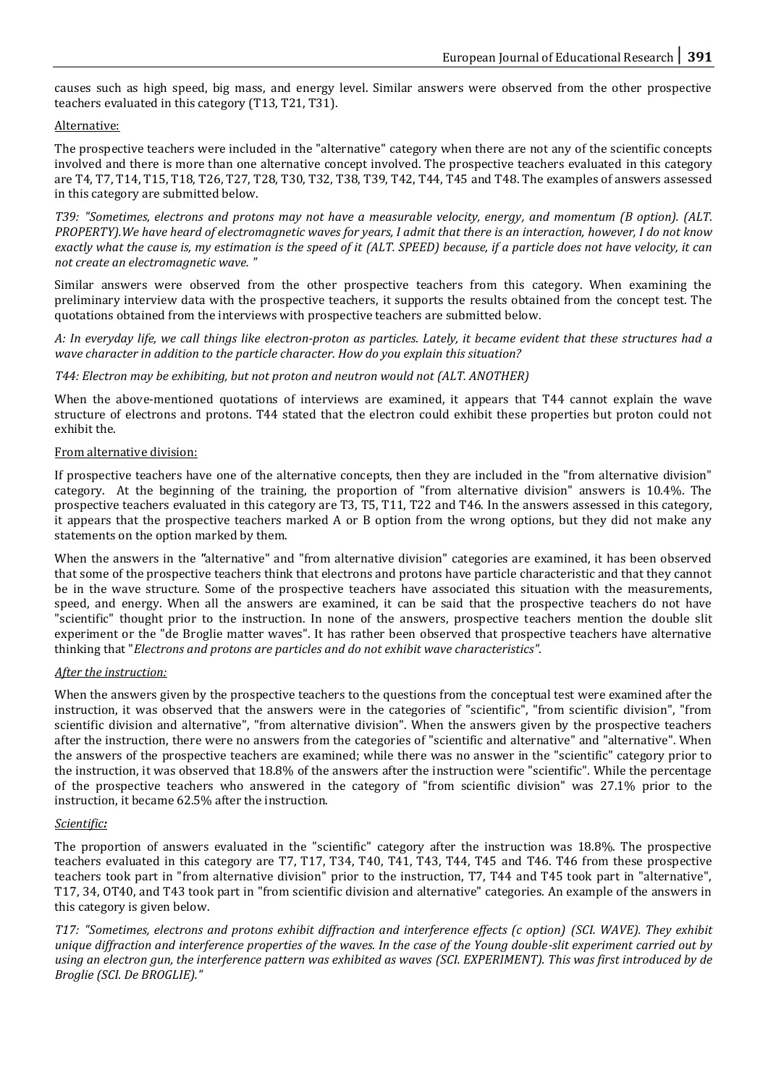causes such as high speed, big mass, and energy level. Similar answers were observed from the other prospective teachers evaluated in this category (T13, T21, T31).

# Alternative:

The prospective teachers were included in the "alternative" category when there are not any of the scientific concepts involved and there is more than one alternative concept involved. The prospective teachers evaluated in this category are T4, T7, T14, T15, T18, T26, T27, T28, T30, T32, T38, T39, T42, T44, T45 and T48. The examples of answers assessed in this category are submitted below.

*T39: "Sometimes, electrons and protons may not have a measurable velocity, energy, and momentum (B option). (ALT. PROPERTY).We have heard of electromagnetic waves for years, I admit that there is an interaction, however, I do not know exactly what the cause is, my estimation is the speed of it (ALT. SPEED) because, if a particle does not have velocity, it can not create an electromagnetic wave. "*

Similar answers were observed from the other prospective teachers from this category. When examining the preliminary interview data with the prospective teachers, it supports the results obtained from the concept test. The quotations obtained from the interviews with prospective teachers are submitted below.

*A: In everyday life, we call things like electron-proton as particles. Lately, it became evident that these structures had a wave character in addition to the particle character. How do you explain this situation?*

#### *T44: Electron may be exhibiting, but not proton and neutron would not (ALT. ANOTHER)*

When the above-mentioned quotations of interviews are examined, it appears that T44 cannot explain the wave structure of electrons and protons. T44 stated that the electron could exhibit these properties but proton could not exhibit the.

#### From alternative division:

If prospective teachers have one of the alternative concepts, then they are included in the "from alternative division" category. At the beginning of the training, the proportion of "from alternative division" answers is 10.4%. The prospective teachers evaluated in this category are T3, T5, T11, T22 and T46. In the answers assessed in this category, it appears that the prospective teachers marked A or B option from the wrong options, but they did not make any statements on the option marked by them.

When the answers in the *"*alternative" and "from alternative division" categories are examined, it has been observed that some of the prospective teachers think that electrons and protons have particle characteristic and that they cannot be in the wave structure. Some of the prospective teachers have associated this situation with the measurements, speed, and energy. When all the answers are examined, it can be said that the prospective teachers do not have "scientific" thought prior to the instruction. In none of the answers, prospective teachers mention the double slit experiment or the "de Broglie matter waves". It has rather been observed that prospective teachers have alternative thinking that "*Electrons and protons are particles and do not exhibit wave characteristics".*

#### *After the instruction:*

When the answers given by the prospective teachers to the questions from the conceptual test were examined after the instruction, it was observed that the answers were in the categories of "scientific", "from scientific division", "from scientific division and alternative", "from alternative division". When the answers given by the prospective teachers after the instruction, there were no answers from the categories of "scientific and alternative" and "alternative". When the answers of the prospective teachers are examined; while there was no answer in the "scientific" category prior to the instruction, it was observed that 18.8% of the answers after the instruction were "scientific". While the percentage of the prospective teachers who answered in the category of "from scientific division" was 27.1% prior to the instruction, it became 62.5% after the instruction.

#### *Scientific:*

The proportion of answers evaluated in the "scientific" category after the instruction was 18.8%. The prospective teachers evaluated in this category are T7, T17, T34, T40, T41, T43, T44, T45 and T46. T46 from these prospective teachers took part in "from alternative division" prior to the instruction, T7, T44 and T45 took part in "alternative", T17, 34, OT40, and T43 took part in "from scientific division and alternative" categories. An example of the answers in this category is given below.

*T17: "Sometimes, electrons and protons exhibit diffraction and interference effects (c option) (SCI. WAVE). They exhibit unique diffraction and interference properties of the waves. In the case of the Young double-slit experiment carried out by using an electron gun, the interference pattern was exhibited as waves (SCI. EXPERIMENT). This was first introduced by de Broglie (SCI. De BROGLIE)."*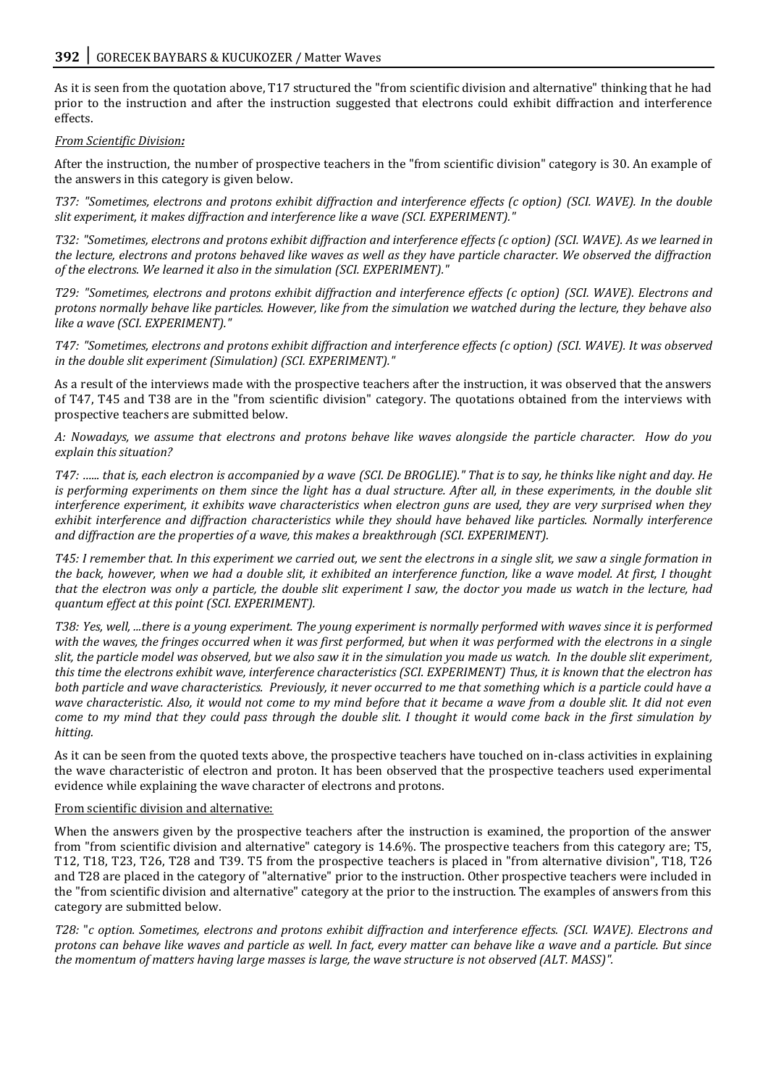As it is seen from the quotation above, T17 structured the "from scientific division and alternative" thinking that he had prior to the instruction and after the instruction suggested that electrons could exhibit diffraction and interference effects.

# *From Scientific Division:*

After the instruction, the number of prospective teachers in the "from scientific division" category is 30. An example of the answers in this category is given below.

*T37: "Sometimes, electrons and protons exhibit diffraction and interference effects (c option) (SCI. WAVE). In the double slit experiment, it makes diffraction and interference like a wave (SCI. EXPERIMENT)."*

*T32: "Sometimes, electrons and protons exhibit diffraction and interference effects (c option) (SCI. WAVE). As we learned in the lecture, electrons and protons behaved like waves as well as they have particle character. We observed the diffraction of the electrons. We learned it also in the simulation (SCI. EXPERIMENT)."*

*T29: "Sometimes, electrons and protons exhibit diffraction and interference effects (c option) (SCI. WAVE). Electrons and protons normally behave like particles. However, like from the simulation we watched during the lecture, they behave also like a wave (SCI. EXPERIMENT)."*

*T47: "Sometimes, electrons and protons exhibit diffraction and interference effects (c option) (SCI. WAVE). It was observed in the double slit experiment (Simulation) (SCI. EXPERIMENT)."*

As a result of the interviews made with the prospective teachers after the instruction, it was observed that the answers of T47, T45 and T38 are in the "from scientific division" category. The quotations obtained from the interviews with prospective teachers are submitted below.

*A: Nowadays, we assume that electrons and protons behave like waves alongside the particle character. How do you explain this situation?*

*T47: …... that is, each electron is accompanied by a wave (SCI. De BROGLIE)." That is to say, he thinks like night and day. He is performing experiments on them since the light has a dual structure. After all, in these experiments, in the double slit interference experiment, it exhibits wave characteristics when electron guns are used, they are very surprised when they exhibit interference and diffraction characteristics while they should have behaved like particles. Normally interference and diffraction are the properties of a wave, this makes a breakthrough (SCI. EXPERIMENT).*

*T45: I remember that. In this experiment we carried out, we sent the electrons in a single slit, we saw a single formation in the back, however, when we had a double slit, it exhibited an interference function, like a wave model. At first, I thought that the electron was only a particle, the double slit experiment I saw, the doctor you made us watch in the lecture, had quantum effect at this point (SCI. EXPERIMENT).*

*T38: Yes, well, ...there is a young experiment. The young experiment is normally performed with waves since it is performed with the waves, the fringes occurred when it was first performed, but when it was performed with the electrons in a single slit, the particle model was observed, but we also saw it in the simulation you made us watch. In the double slit experiment, this time the electrons exhibit wave, interference characteristics (SCI. EXPERIMENT) Thus, it is known that the electron has both particle and wave characteristics. Previously, it never occurred to me that something which is a particle could have a wave characteristic. Also, it would not come to my mind before that it became a wave from a double slit. It did not even come to my mind that they could pass through the double slit. I thought it would come back in the first simulation by hitting.*

As it can be seen from the quoted texts above, the prospective teachers have touched on in-class activities in explaining the wave characteristic of electron and proton. It has been observed that the prospective teachers used experimental evidence while explaining the wave character of electrons and protons.

#### From scientific division and alternative:

When the answers given by the prospective teachers after the instruction is examined, the proportion of the answer from "from scientific division and alternative" category is 14.6%. The prospective teachers from this category are; T5, T12, T18, T23, T26, T28 and T39. T5 from the prospective teachers is placed in "from alternative division", T18, T26 and T28 are placed in the category of "alternative" prior to the instruction. Other prospective teachers were included in the "from scientific division and alternative" category at the prior to the instruction. The examples of answers from this category are submitted below.

*T28:* "*c option. Sometimes, electrons and protons exhibit diffraction and interference effects. (SCI. WAVE). Electrons and protons can behave like waves and particle as well. In fact, every matter can behave like a wave and a particle. But since the momentum of matters having large masses is large, the wave structure is not observed (ALT. MASS)".*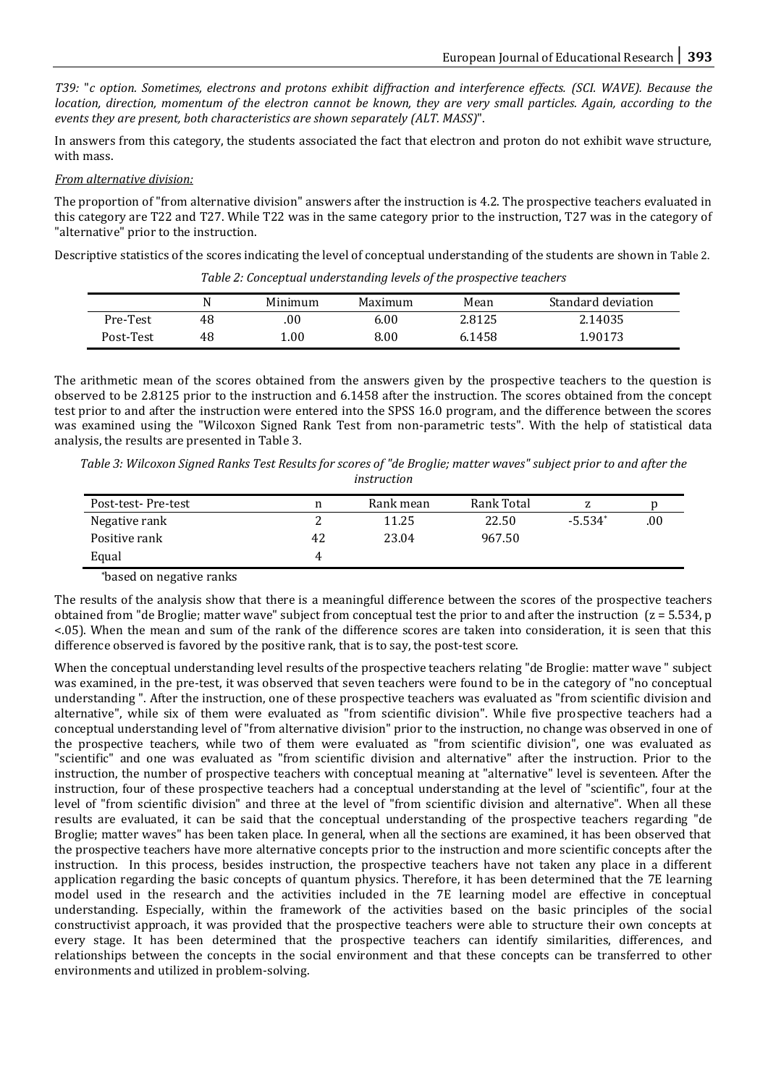*T39:* "*c option. Sometimes, electrons and protons exhibit diffraction and interference effects. (SCI. WAVE). Because the location, direction, momentum of the electron cannot be known, they are very small particles. Again, according to the events they are present, both characteristics are shown separately (ALT. MASS)*".

In answers from this category, the students associated the fact that electron and proton do not exhibit wave structure, with mass.

*From alternative division:*

The proportion of "from alternative division" answers after the instruction is 4.2. The prospective teachers evaluated in this category are T22 and T27. While T22 was in the same category prior to the instruction, T27 was in the category of "alternative" prior to the instruction.

Descriptive statistics of the scores indicating the level of conceptual understanding of the students are shown in Table 2.

|           |    | Minimum | Maximum | Mean   | Standard deviation |
|-----------|----|---------|---------|--------|--------------------|
| Pre-Test  | 48 | .00     | 6.00    | 2.8125 | 2.14035            |
| Post-Test | 48 | .00     | 8.00    | 6.1458 | 1.90173            |

*Table 2: Conceptual understanding levels of the prospective teachers*

The arithmetic mean of the scores obtained from the answers given by the prospective teachers to the question is observed to be 2.8125 prior to the instruction and 6.1458 after the instruction. The scores obtained from the concept test prior to and after the instruction were entered into the SPSS 16.0 program, and the difference between the scores was examined using the "Wilcoxon Signed Rank Test from non-parametric tests". With the help of statistical data analysis, the results are presented in Table 3.

*Table 3: Wilcoxon Signed Ranks Test Results for scores of "de Broglie; matter waves" subject prior to and after the instruction*

| Post-test-Pre-test |    | Rank mean | Rank Total |           |      |
|--------------------|----|-----------|------------|-----------|------|
| Negative rank      |    | 11.25     | 22.50      | $-5.534*$ | .00. |
| Positive rank      | 42 | 23.04     | 967.50     |           |      |
| Equal              |    |           |            |           |      |

\*based on negative ranks

The results of the analysis show that there is a meaningful difference between the scores of the prospective teachers obtained from "de Broglie; matter wave" subject from conceptual test the prior to and after the instruction  $(z = 5.534, p)$ <.05). When the mean and sum of the rank of the difference scores are taken into consideration, it is seen that this difference observed is favored by the positive rank, that is to say, the post-test score.

When the conceptual understanding level results of the prospective teachers relating "de Broglie: matter wave " subject was examined, in the pre-test, it was observed that seven teachers were found to be in the category of "no conceptual understanding ". After the instruction, one of these prospective teachers was evaluated as "from scientific division and alternative", while six of them were evaluated as "from scientific division". While five prospective teachers had a conceptual understanding level of "from alternative division" prior to the instruction, no change was observed in one of the prospective teachers, while two of them were evaluated as "from scientific division", one was evaluated as "scientific" and one was evaluated as "from scientific division and alternative" after the instruction. Prior to the instruction, the number of prospective teachers with conceptual meaning at "alternative" level is seventeen. After the instruction, four of these prospective teachers had a conceptual understanding at the level of "scientific", four at the level of "from scientific division" and three at the level of "from scientific division and alternative". When all these results are evaluated, it can be said that the conceptual understanding of the prospective teachers regarding "de Broglie; matter waves" has been taken place. In general, when all the sections are examined, it has been observed that the prospective teachers have more alternative concepts prior to the instruction and more scientific concepts after the instruction. In this process, besides instruction, the prospective teachers have not taken any place in a different application regarding the basic concepts of quantum physics. Therefore, it has been determined that the 7E learning model used in the research and the activities included in the 7E learning model are effective in conceptual understanding. Especially, within the framework of the activities based on the basic principles of the social constructivist approach, it was provided that the prospective teachers were able to structure their own concepts at every stage. It has been determined that the prospective teachers can identify similarities, differences, and relationships between the concepts in the social environment and that these concepts can be transferred to other environments and utilized in problem-solving.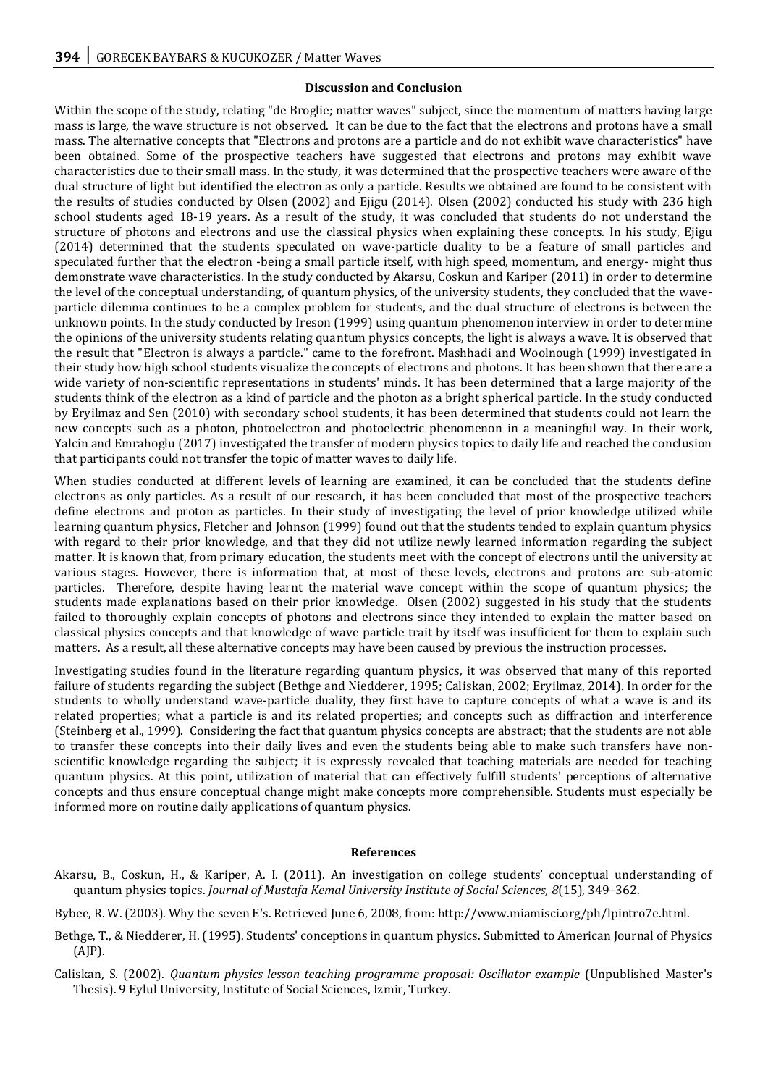#### **Discussion and Conclusion**

Within the scope of the study, relating "de Broglie; matter waves" subject, since the momentum of matters having large mass is large, the wave structure is not observed. It can be due to the fact that the electrons and protons have a small mass. The alternative concepts that "Electrons and protons are a particle and do not exhibit wave characteristics" have been obtained. Some of the prospective teachers have suggested that electrons and protons may exhibit wave characteristics due to their small mass. In the study, it was determined that the prospective teachers were aware of the dual structure of light but identified the electron as only a particle. Results we obtained are found to be consistent with the results of studies conducted by Olsen (2002) and Ejigu (2014). Olsen (2002) conducted his study with 236 high school students aged 18-19 years. As a result of the study, it was concluded that students do not understand the structure of photons and electrons and use the classical physics when explaining these concepts. In his study, Ejigu (2014) determined that the students speculated on wave-particle duality to be a feature of small particles and speculated further that the electron -being a small particle itself, with high speed, momentum, and energy- might thus demonstrate wave characteristics. In the study conducted by Akarsu, Coskun and Kariper (2011) in order to determine the level of the conceptual understanding, of quantum physics, of the university students, they concluded that the waveparticle dilemma continues to be a complex problem for students, and the dual structure of electrons is between the unknown points. In the study conducted by Ireson (1999) using quantum phenomenon interview in order to determine the opinions of the university students relating quantum physics concepts, the light is always a wave. It is observed that the result that "Electron is always a particle." came to the forefront. Mashhadi and Woolnough (1999) investigated in their study how high school students visualize the concepts of electrons and photons. It has been shown that there are a wide variety of non-scientific representations in students' minds. It has been determined that a large majority of the students think of the electron as a kind of particle and the photon as a bright spherical particle. In the study conducted by Eryilmaz and Sen (2010) with secondary school students, it has been determined that students could not learn the new concepts such as a photon, photoelectron and photoelectric phenomenon in a meaningful way. In their work, Yalcin and Emrahoglu (2017) investigated the transfer of modern physics topics to daily life and reached the conclusion that participants could not transfer the topic of matter waves to daily life.

When studies conducted at different levels of learning are examined, it can be concluded that the students define electrons as only particles. As a result of our research, it has been concluded that most of the prospective teachers define electrons and proton as particles. In their study of investigating the level of prior knowledge utilized while learning quantum physics, Fletcher and Johnson (1999) found out that the students tended to explain quantum physics with regard to their prior knowledge, and that they did not utilize newly learned information regarding the subject matter. It is known that, from primary education, the students meet with the concept of electrons until the university at various stages. However, there is information that, at most of these levels, electrons and protons are sub-atomic particles. Therefore, despite having learnt the material wave concept within the scope of quantum physics; the students made explanations based on their prior knowledge. Olsen (2002) suggested in his study that the students failed to thoroughly explain concepts of photons and electrons since they intended to explain the matter based on classical physics concepts and that knowledge of wave particle trait by itself was insufficient for them to explain such matters. As a result, all these alternative concepts may have been caused by previous the instruction processes.

Investigating studies found in the literature regarding quantum physics, it was observed that many of this reported failure of students regarding the subject (Bethge and Niedderer, 1995; Caliskan, 2002; Eryilmaz, 2014). In order for the students to wholly understand wave-particle duality, they first have to capture concepts of what a wave is and its related properties; what a particle is and its related properties; and concepts such as diffraction and interference (Steinberg et al., 1999). Considering the fact that quantum physics concepts are abstract; that the students are not able to transfer these concepts into their daily lives and even the students being able to make such transfers have nonscientific knowledge regarding the subject; it is expressly revealed that teaching materials are needed for teaching quantum physics. At this point, utilization of material that can effectively fulfill students' perceptions of alternative concepts and thus ensure conceptual change might make concepts more comprehensible. Students must especially be informed more on routine daily applications of quantum physics.

#### **References**

Akarsu, B., Coskun, H., & Kariper, A. I. (2011). An investigation on college students' conceptual understanding of quantum physics topics. *Journal of Mustafa Kemal University Institute of Social Sciences, 8*(15), 349–362.

Bybee, R. W. (2003). Why the seven E's. Retrieved June 6, 2008, from: http://www.miamisci.org/ph/lpintro7e.html.

- Bethge, T., & Niedderer, H. (1995). Students' conceptions in quantum physics. Submitted to American Journal of Physics (AJP).
- Caliskan, S. (2002). *Quantum physics lesson teaching programme proposal: Oscillator example* (Unpublished Master's Thesis). 9 Eylul University, Institute of Social Sciences, Izmir, Turkey.